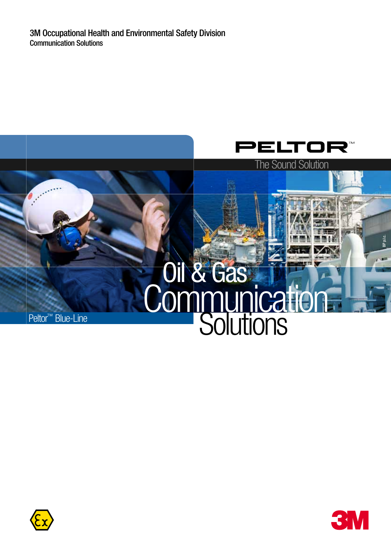



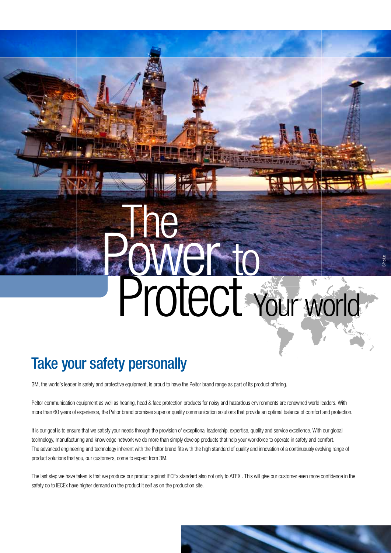# **extra** The Protect Your world

BP p.l.c.

## Take your safety personally

3M, the world's leader in safety and protective equipment, is proud to have the Peltor brand range as part of its product offering.

Peltor communication equipment as well as hearing, head & face protection products for noisy and hazardous environments are renowned world leaders. With more than 60 years of experience, the Peltor brand promises superior quality communication solutions that provide an optimal balance of comfort and protection.

It is our goal is to ensure that we satisfy your needs through the provision of exceptional leadership, expertise, quality and service excellence. With our global technology, manufacturing and knowledge network we do more than simply develop products that help your workforce to operate in safety and comfort. The advanced engineering and technology inherent with the Peltor brand fits with the high standard of quality and innovation of a continuously evolving range of product solutions that you, our customers, come to expect from 3M.

The last step we have taken is that we produce our product against IECEx standard also not only to ATEX . This will give our customer even more confidence in the safety do to IECEx have higher demand on the product it self as on the production site.

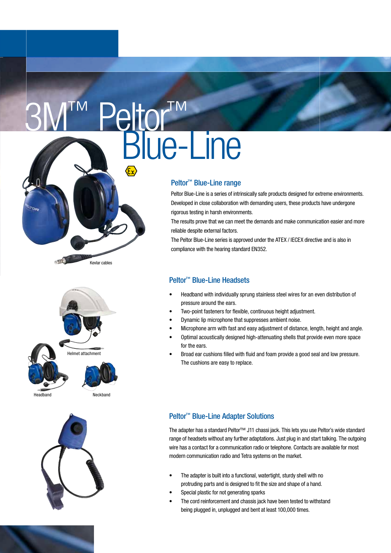# ™ Peltor' **atul<br>Blue-Line**

## Peltor<sup>™</sup> Blue-Line range

Peltor Blue-Line is a series of intrinsically safe products designed for extreme environments. Developed in close collaboration with demanding users, these products have undergone rigorous testing in harsh environments.

The results prove that we can meet the demands and make communication easier and more reliable despite external factors.

The Peltor Blue-Line series is approved under the ATEX / IECEX directive and is also in compliance with the hearing standard EN352.

## Peltor<sup>™</sup> Blue-Line Headsets

- Headband with individually sprung stainless steel wires for an even distribution of pressure around the ears.
- Two-point fasteners for flexible, continuous height adjustment.
- Dynamic lip microphone that suppresses ambient noise.
- Microphone arm with fast and easy adjustment of distance, length, height and angle.
- Optimal acoustically designed high-attenuating shells that provide even more space for the ears.
- Broad ear cushions filled with fluid and foam provide a good seal and low pressure. The cushions are easy to replace.

## Peltor<sup>™</sup> Blue-Line Adapter Solutions

The adapter has a standard Peltor<sup>™</sup> J11 chassi jack. This lets you use Peltor's wide standard range of headsets without any further adaptations. Just plug in and start talking. The outgoing wire has a contact for a communication radio or telephone. Contacts are available for most modern communication radio and Tetra systems on the market.

- The adapter is built into a functional, watertight, sturdy shell with no protruding parts and is designed to fit the size and shape of a hand.
- Special plastic for not generating sparks
- The cord reinforcement and chassis jack have been tested to withstand being plugged in, unplugged and bent at least 100,000 times.



Kevlar cables



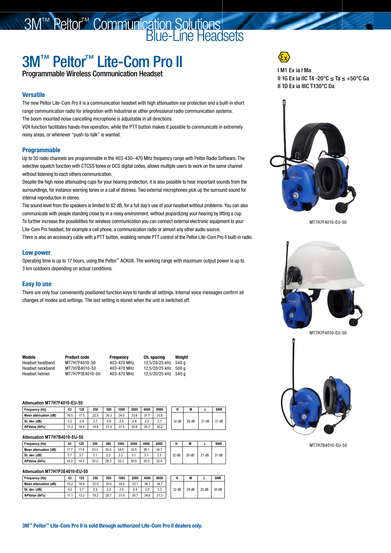## 3M™ Peltor<sup>™</sup> Communication Solutions **Blue-Line Headsets**

## 3M™ Peltor™ Lite-Com Pro II

Programmable Wireless Communication Headset

## **Versatile**

The new Peltor Lite-Com Pro II is a communication headset with high attenuation ear protection and a built-in short range communication radio for integration with industrial or other professional radio communication systems. The boom mounted noise cancelling microphone is adjustable in all directions.

VOX function facilitates hands-free operation, while the PTT button makes it possible to communicate in extremely noisy areas, or whenever "push-to-talk" is wanted.

## Programmable

Up to 30 radio channels are programmable in the 403-430–470 MHz frequency range with Peltor Radio Software. The selective squelch function with CTCSS tones or DCS digital codes, allows multiple users to work on the same channel without listening to each others communication.

Despite the high noise attenuating cups for your hearing protection, it is also possible to hear important sounds from the surroundings, for instance warning tones or a call of distress. Two external microphones pick up the surround sound for internal reproduction in stereo.

The sound level from the speakers is limited to 82 dB, for a full day's use of your headset without problems. You can also communicate with people standing close by in a noisy environment, without jeopardizing your hearing by lifting a cup. To further increase the possibilities for wireless communication you can connect external electronic equipment to your Lite-Com Pro headset, for example a cell phone, a communication radio or almost any other audio source.

There is also an accessory cable with a PTT button, enabling remote PTT control of the Peltor Lite-Com Pro II built-in radio.

## Low power

Operating time is up to 17 hours, using the Peltor™ ACK08. The working range with maximum output power is up to 3 km outdoors depending on actual conditions.

## Easy to use

There are only four conveniently positioned function keys to handle all settings. Internal voice messages confirm all changes of modes and settings. The last setting is stored when the unit is switched off.

| Models           | <b>Product code</b> | <b>Frequency</b> | Ch. spacing          | Weiaht |
|------------------|---------------------|------------------|----------------------|--------|
| Headset headband | MT7H7F4010-50       | 403-470 MHz      | 12.5/20/25 kHz 540 g |        |
| Headset neckband | MT7H7B4010-50       | 403-470 MHz      | 12.5/20/25 kHz 500 g |        |
| Headset helmet   | MT7H7P3E4010-50     | 403-470 MHz      | 12.5/20/25 kHz 540 g |        |

### **Attenuation MT7H7F4010-EU-50**

| Frequency (Hz)        | 63        | 125  | 250    | 500  | 1000      | 2000 | 4000 | 8000       |       | M<br>IVI |         | <b>SNR</b> |
|-----------------------|-----------|------|--------|------|-----------|------|------|------------|-------|----------|---------|------------|
| Mean attenuation (dB) | 16.5      | 17.5 | 22.5   | 30.3 | 34.0      | 33.6 | 37.7 | 33.8       |       |          |         |            |
| St. dev. (dB)         | 20<br>J.Z | 2.9  | $\sim$ | 2.9  | つら<br>ں ے | 2.8  | 2.0  | n -<br>v.i | 32 dB | 28 dB    | $21$ dB | 31 dB      |
| APValue (84%)         | 13.3      | 14.6 | 19.8   | 27.4 | 31.5      | 30.8 | 35.7 | 30.2       |       |          |         |            |

### **Attenuation MT7H7B4010-EU-50**

| Frequency (Hz)        | 63      | 125  | 250  | 500                  | 1000                                | 2000                   | 4000                  | 8000          |       | IVI   |       | <b>SNR</b> |
|-----------------------|---------|------|------|----------------------|-------------------------------------|------------------------|-----------------------|---------------|-------|-------|-------|------------|
| Mean attenuation (dB) | 47<br>. | 17.9 | 23.3 | 30.5                 | 34.5                                | 33.5                   | 38.1                  | 34.7          |       |       |       |            |
| St. dev. (dB)         | ا د     | v.i  | J.I  | $\sim$<br>$\epsilon$ | $\sim$<br>$\mathcal{L}.\mathcal{L}$ | 2 <sub>1</sub><br>v. I | $\overline{ }$<br>J.I | $\sim$<br>د.ے | 32 dB | 29 dB | 21 dB | 31 dB      |
| APValue (84%)         | 14.0    | 14.3 | 20.2 | 28.3                 | 32.3                                | 30.5                   | 35.0                  | 32.5          |       |       |       |            |

### **Attenuation MT7H7P3E4010-EU-50**

| Frequency (Hz)        | 63      | 125  | 250  | 500  | 1000 | 2000 | 4000 | 8000 |       | M     |      | <b>SNR</b> |
|-----------------------|---------|------|------|------|------|------|------|------|-------|-------|------|------------|
| Mean attenuation (dB) | 15.2    | 16.9 | 22.0 | 30.0 | 34.5 | 33.1 | 36.7 | 34.7 |       |       |      |            |
| St. dev. (dB)         | 4.0     | ن ب  | 2.9  | 3.3  | 2.6  | 2.4  | 2.0  | 3.3  | 32 dB | 28 dB | 20dB | 30 dB      |
| APValue (84%)         | I I . I | 13.2 | 19.2 | 26.7 | 31.9 | 30.7 | 34.6 | 31.3 |       |       |      |            |



## I M1 Ex ia I Ma II 1G Ex ia IIC T4 -20°C ≤ Ta ≤ +50°C Ga II 1D Ex ia IIIC T130°C Da



MT7H7F4010-EU-50





MT7H7B4010-EU-50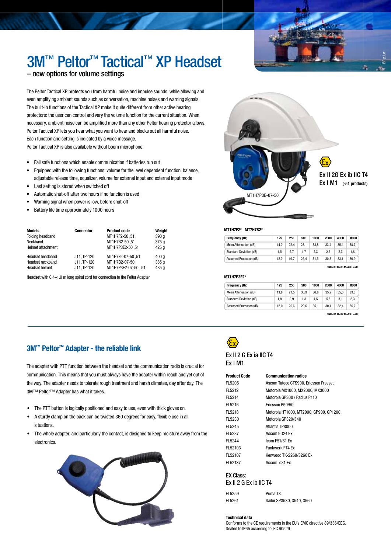

## 3M™ Peltor™ Tactical™ XP Headset

## – new options for volume settings

The Peltor Tactical XP protects you from harmful noise and impulse sounds, while allowing and even amplifying ambient sounds such as conversation, machine noises and warning signals. The built-in functions of the Tactical XP make it quite different from other active hearing protectors: the user can control and vary the volume function for the current situation. When necessary, ambient noise can be amplified more than any other Peltor hearing protector allows. Peltor Tactical XP lets you hear what you want to hear and blocks out all harmful noise. Each function and setting is indicated by a voice message.

Peltor Tactical XP is also availabele without boom microphone.

- • Fail safe functions which enable communication if batteries run out
- • Equipped with the following functions: volume for the level dependent function, balance, adjustable release time, equalizer, volume for external input and external input mode
- Last setting is stored when switched off
- Automatic shut-off after two hours if no function is used
- Warning signal when power is low, before shut-off
- Battery life time approximately 1000 hours

| Models                | <b>Connector</b> | <b>Product code</b> | Weight |
|-----------------------|------------------|---------------------|--------|
| Folding headband      |                  | MT1H7F2-50,51       | 390q   |
| Neckband              |                  | MT1H7B2-50,51       | 375q   |
| Helmet attachment     |                  | MT1H7P3E2-50.51     | 425 g  |
| Headset headband      | J11, TP-120      | MT1H7F2-07-50,51    | 400q   |
| Headset neckband      | J11. TP-120      | MT1H7B2-07-50       | 385q   |
| <b>Headset helmet</b> | J11. TP-120      | MT1H7P3E2-07-50.51  | 435 g  |

Headset with 0.4–1.0 m long spiral cord for connection to the Peltor Adapter MT4H7P3E2\* MT1H7P3E2\*



### MT1H7F2\* MT7H7B2\*

| <b>Frequency (Hz)</b>          | 125  | 250  | 500  | 1000 | 2000 | 4000 | 8000 |
|--------------------------------|------|------|------|------|------|------|------|
| <b>Mean Attenuation (dB)</b>   | 14.0 | 22.4 | 28.1 | 33.8 | 33.4 | 35.4 | 38.7 |
| <b>Standard Deviation (dB)</b> | 1.5  | 2.7  | 1.7  | 2.3  | 2.6  | 2.3  | 1.8  |
| Assumed Protection (dB)        | 12.0 | 19.7 | 26.4 | 31.5 | 30.8 | 33.1 | 36.9 |

SNR=30 H=33 M=28 L=20

| Frequency (Hz)                 | 125  | 250  | 500  | 1000 | 2000 | 4000 | 8000 |
|--------------------------------|------|------|------|------|------|------|------|
| Mean Attenuation (dB)          | 13.8 | 21.5 | 30.9 | 36.6 | 35.9 | 35.5 | 39.0 |
| <b>Standard Deviation (dB)</b> | 1.8  | 0.9  | 1.3  | 1.5  | 5.5  | 3.1  | 2,3  |
| Assumed Protection (dB)        | 12.0 | 20.6 | 29.6 | 35.1 | 30.4 | 32.4 | 36.7 |

SNR=31 H=32 M=29 L=20

## 3M™ Peltor™ Adapter - the reliable link

The adapter with PTT function between the headset and the communication radio is crucial for communication. This means that you must always have the adapter within reach and yet out of the way. The adapter needs to tolerate rough treatment and harsh climates, day after day. The 3M™ Peltor™ Adapter has what it takes.

- The PTT button is logically positioned and easy to use, even with thick gloves on.
- A sturdy clamp on the back can be twisted 360 degrees for easy, flexible use in all situations.
- The whole adapter, and particularly the contact, is designed to keep moisture away from the electronics.





## Ex II 2 G Ex ia IIC T4 Ex I M1

Product Code Communication radios

| FL5205  | Ascom Tateco CTS900. Ericsson Freeset  |
|---------|----------------------------------------|
| FL5212  | Motorola MX1000, MX2000, MX3000        |
| FL5214  | Motorola GP300 / Radius P110           |
| FL5216  | Ericsson P50/50                        |
| FL5218  | Motorola HT1000, MT2000, GP900, GP1200 |
| FL5230  | Motorola GP320/340                     |
| FL5245  | Atlantis TP8000                        |
| FL5237  | Ascom 9D24 Ex                          |
| FL5244  | Icom F51/61 Ex                         |
| FL52103 | Funkwerk FT4 Ex                        |
| FL52107 | Kenwood TK-2260/3260 Ex                |
| FL52137 | Ascom d81 Ex                           |
|         |                                        |

## EX Class:

| Ex II 2 G Ex ib IIC T4 |  |  |  |
|------------------------|--|--|--|
|                        |  |  |  |

| FL5259 | Puma T <sub>3</sub>       |
|--------|---------------------------|
| FL5261 | Sailor SP3530, 3540, 3560 |

Technical data Conforms to the CE requirements in the EU's EMC directive 89/336/EEG. Sealed to IP65 according to IEC 60529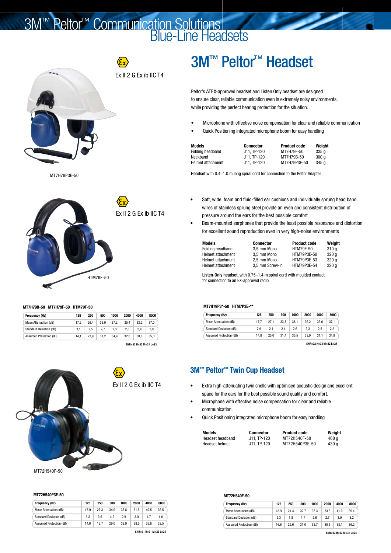## 3M™ Peltor<sup>™</sup> Communication Solutions **Blue-Line Headsets**



MT7H79P3E-50



### MT7H79B-50 MT7H79F-50 HTM79F-50

| <b>Frequency (Hz)</b>          | 125  | 250  | 500  | 1000 | 2000 | 4000 | 8000 |
|--------------------------------|------|------|------|------|------|------|------|
| Mean Attenuation (dB)          | 17.2 | 26.4 | 33.9 | 37.2 | 35.4 | 33.2 | 37.0 |
| <b>Standard Deviation (dB)</b> | 3.1  | 2.5  | 2.7  | 2.3  | 2.6  | 2.4  | 2.0  |
| Assumed Protection (dB)        | 14.1 | 23.9 | 31.2 | 34.9 | 32.8 | 30.8 | 35.0 |



## MT72H540P3E-50

| Frequency (Hz)                 | 125  | 250  | 500  | 1000 | 2000 | 4000 | 8000 |
|--------------------------------|------|------|------|------|------|------|------|
| Mean Attenuation (dB)          | 17.9 | 27.3 | 34.0 | 35.8 | 31.5 | 40.5 | 36.5 |
| <b>Standard Deviation (dB)</b> | 3.3  | 3.6  | 4.2  | 2.9  | 3.0  | 4.7  | 4.0  |
| Assumed Protection (dB)        | 14.6 | 19.7 | 29.0 | 32.9 | 28.5 | 35.8 | 32.5 |

### SNR=31 H=31 M=29 L=24

## 3M™ Peltor<sup>™</sup> Headset

Peltor's ATEX-approved headset and Listen Only headset are designed to ensure clear, reliable communication even in extremely noisy environments, while providing the perfect hearing protection for the situation.

- Microphone with effective noise compensation for clear and reliable communication
- Quick Positioning integrated microphone boom for easy handling

| Models            | <b>Connector</b> | <b>Product code</b> | Weiaht           |
|-------------------|------------------|---------------------|------------------|
| Folding headband  | J11. TP-120      | MT7H79F-50          | 335a             |
| Neckband          | J11. TP-120      | MT7H79B-50          | 300 <sub>a</sub> |
| Helmet attachment | J11. TP-120      | MT7H79P3E-50        | 345 a            |

Headset with 0.4–1.0 m long spiral cord for connection to the Peltor Adapter

- Soft, wide, foam and fluid-filled ear cushions and individually sprung head band wires of stainless sprung steel provide an even and consistent distribution of pressure around the ears for the best possible comfort
- Beam-mounted earphones that provide the least possible resonance and distortion for excellent sound reproduction even in very high-noise environments

| Models                   |
|--------------------------|
| Folding headband         |
| <b>Helmet attachment</b> |
| Helmet attachment        |
| Helmet attachment        |

**Connector Product code Weight**<br>3,5 mm Mono HTM79F-50 310 q 3,5 mm Mono HTM79F-50 310 g<br>3,5 mm Mono HTM79P3E-50 320 g

ers. The Mono HTM79P3E-50 320 g<br>2,5 mm Mono HTM79P3E-53 320 g  $\frac{2}{5}$  mm Mono HTM79P3E-53 320 g<br>3,5 mm Screw-in HTM79P3E-54 320 g  $3,5$  mm Screw-in

Listen-Only headset, with 0.75–1.4 m spiral cord with moulded contact for connection to an EX-approved radio.

## MT7H79P3\*-50 HTM7P3E-\*\*

| <b>Frequency (Hz)</b>          | 125  | 250  | 500  | 1000 | 2000 | 4000 | 8000 |
|--------------------------------|------|------|------|------|------|------|------|
| <b>Mean Attenuation (dB)</b>   | 17.7 | 27.1 | 33.8 | 38.1 | 36.2 | 33.6 | 37,1 |
| <b>Standard Deviation (dB)</b> | 2.9  | 2.1  | 2.4  | 2.6  | 2.3  | 2.5  | 2.2  |
| Assumed Protection (dB)        | 14.8 | 25.0 | 31.4 | 35.5 | 33.9 | 31.1 | 34,9 |

3M™ Peltor™ Twin Cup Headset

- • Extra high-attenuating twin shells with optimised acoustic design and excellent space for the ears for the best possible sound quality and comfort.
- Microphone with effective noise compensation for clear and reliable communication.
- Quick Positioning integrated microphone boom for easy handling

| Models                | <b>Connector</b> | <b>Product code</b> | Weight |
|-----------------------|------------------|---------------------|--------|
| Headset headband      | J11. TP-120      | MT72H540F-50        | 400 a  |
| <b>Headset helmet</b> | J11. TP-120      | MT72H540P3E-50      | 430 a  |

## MT72H540F-50

| <b>Frequency (Hz)</b>          | 125  | 250  | 500  | 1000 | 2000 | 4000 | 8000 |
|--------------------------------|------|------|------|------|------|------|------|
| Mean Attenuation (dB)          | 18.9 | 24.4 | 32.7 | 35.3 | 33.3 | 41.0 | 39.4 |
| <b>Standard Deviation (dB)</b> | 2.3  | 1.8  |      | 2.6  | 2.7  | 3.0  | 3.2  |
| Assumed Protection (dB)        | 16.6 | 22.6 | 31.0 | 32.7 | 30.6 | 38.1 | 36.2 |

SNR=33 H=33 M=31 L=24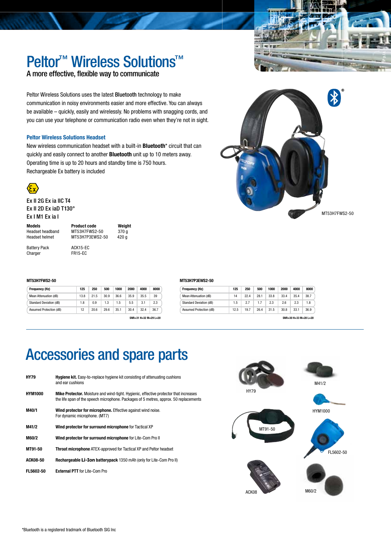

<u>ଲ</u>

## Peltor<sup>™</sup> Wireless Solutions<sup>™</sup>

A more effective, flexible way to communicate

Peltor Wireless Solutions uses the latest Bluetooth technology to make communication in noisy environments easier and more effective. You can always be available – quickly, easily and wirelessly. No problems with snagging cords, and you can use your telephone or communication radio even when they're not in sight.

## Peltor Wireless Solutions Headset

New wireless communication headset with a built-in **Bluetooth**\* circuit that can quickly and easily connect to another **Bluetooth** unit up to 10 meters away. Operating time is up to 20 hours and standby time is 750 hours. Rechargeable Ex battery is included



Ex II 2G Ex ia IIC T4 Ex II 2D Ex iaD T130° Ex I M1 Ex ia I

Headset helmet MT53H7P3FWS2-50

Models **Product code Weight**<br>
Headset headband MT53H7FWS2-50 370 g MT53H7FWS2-50 370 g<br>MT53H7P3EWS2-50 420 g

Battery Pack ACK15-EC Charger FR15-EC

## MT53H7FWS2-50

| Frequency (Hz)                 | 125  | 250  | 500  | 1000 | 2000 | 4000 | 8000 |
|--------------------------------|------|------|------|------|------|------|------|
| Mean Attenuation (dB)          | 13.8 | 21.5 | 30.9 | 36.6 | 35.9 | 35.5 | 39   |
| <b>Standard Deviation (dB)</b> | 1.8  | 0.9  | 1.3  | 1.5  | 5.5  | 3.1  | 2.3  |
| Assumed Protection (dB)        | 12   | 20.6 | 29.6 | 35.1 | 30.4 | 32.4 | 36.7 |

SNR=31 H=32 M=29 L=20

| $\bigstar$    |  |
|---------------|--|
| MT53H7FWS2-50 |  |

## MT53H7P3EWS2-50

| Frequency (Hz)                 | 125  | 250  | 500  | 1000 | 2000 | 4000                  | 8000 |
|--------------------------------|------|------|------|------|------|-----------------------|------|
| Mean Attenuation (dB)          | 14   | 22.4 | 28.1 | 33.8 | 33.4 | 35.4                  | 38.7 |
| <b>Standard Deviation (dB)</b> | 1.5  | 2.7  | 1.7  | 2.3  | 2.6  | 2.3                   | 1.8  |
| Assumed Protection (dB)        | 12.5 | 19.7 | 26.4 | 31.5 | 30.8 | 33.1                  | 36.9 |
|                                |      |      |      |      |      | SNR=30 H=33 M=28 L=20 |      |

## Accessories and spare parts

| HY79             | <b>Hygiene kit.</b> Easy-to-replace hygiene kit consisting of attenuating cushions<br>and ear cushions                                                                                |
|------------------|---------------------------------------------------------------------------------------------------------------------------------------------------------------------------------------|
| <b>HYM1000</b>   | <b>Mike Protector.</b> Moisture and wind-tight. Hygienic, effective protector that increases<br>the life span of the speech microphone. Packages of 5 metres, approx. 50 replacements |
| M40/1            | Wind protector for microphone. Effective against wind noise.<br>For dynamic microphone. (MT7)                                                                                         |
| M41/2            | Wind protector for surround microphone for Tactical XP                                                                                                                                |
| M60/2            | Wind protector for surround microphone for Lite-Com Pro II                                                                                                                            |
| MT91-50          | <b>Throat microphone</b> ATEX-approved for Tactical XP and Peltor headset                                                                                                             |
| <b>ACK08-50</b>  | <b>Rechargeable Li-Ion batterypack</b> 1350 mAh (only for Lite-Com Pro II)                                                                                                            |
| <b>FL5602-50</b> | <b>External PTT</b> for Lite-Com Pro                                                                                                                                                  |
|                  |                                                                                                                                                                                       |